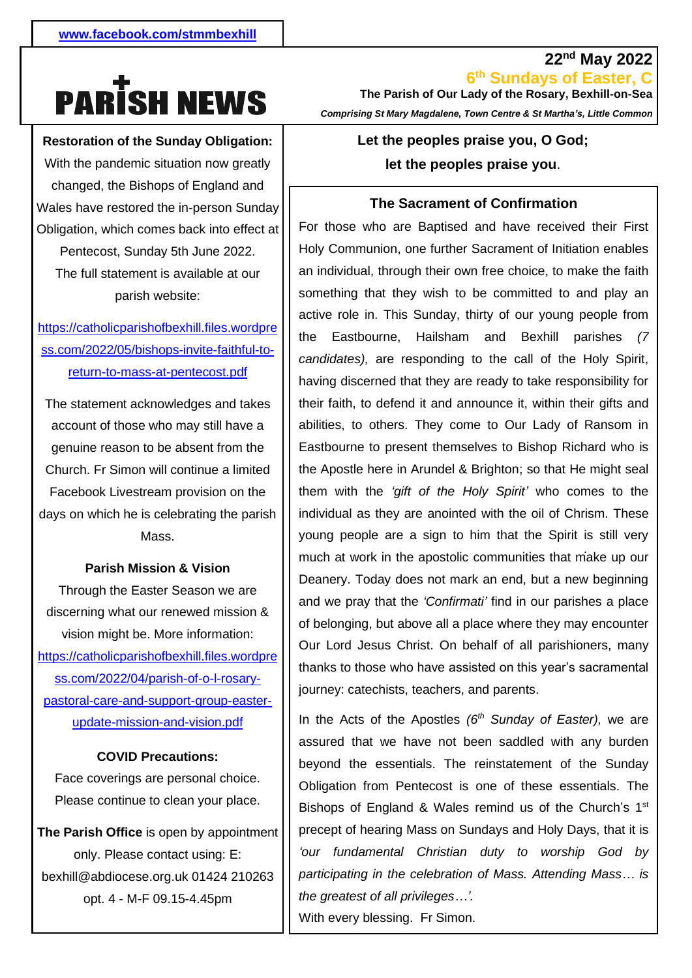# **PARISH NEWS**

**Restoration of the Sunday Obligation:**

With the pandemic situation now greatly **A parish needs to provide**  changed, the Bishops of England and Wales have restored the in-person Sunday Obligation, which comes back into effect at Pentecost, Sunday 5th June 2022. The full statement is available at our parish website:

- [ss.com/2022/05/bishops-invite-faithful-to](https://catholicparishofbexhill.files.wordpress.com/2022/05/bishops-invite-faithful-to-return-to-mass-at-pentecost.pdf)[https://catholicparishofbexhill.files.wordpre](https://catholicparishofbexhill.files.wordpress.com/2022/05/bishops-invite-faithful-to-return-to-mass-at-pentecost.pdf) [return-to-mass-at-pentecost.pdf](https://catholicparishofbexhill.files.wordpress.com/2022/05/bishops-invite-faithful-to-return-to-mass-at-pentecost.pdf)

The statement acknowledges and takes account of those who may still have a genuine reason to be absent from the Church. Fr Simon will continue a limited Facebook Livestream provision on the days on which he is celebrating the parish Mass.

#### **Parish Mission & Vision**

Through the Easter Season we are discerning what our renewed mission & vision might be. More information: [https://catholicparishofbexhill.files.wordpre](https://catholicparishofbexhill.files.wordpress.com/2022/04/parish-of-o-l-rosary-pastoral-care-and-support-group-easter-update-mission-and-vision.pdf) [ss.com/2022/04/parish-of-o-l-rosary](https://catholicparishofbexhill.files.wordpress.com/2022/04/parish-of-o-l-rosary-pastoral-care-and-support-group-easter-update-mission-and-vision.pdf)[pastoral-care-and-support-group-easter](https://catholicparishofbexhill.files.wordpress.com/2022/04/parish-of-o-l-rosary-pastoral-care-and-support-group-easter-update-mission-and-vision.pdf)[update-mission-and-vision.pdf](https://catholicparishofbexhill.files.wordpress.com/2022/04/parish-of-o-l-rosary-pastoral-care-and-support-group-easter-update-mission-and-vision.pdf)

#### **COVID Precautions:**

Face coverings are personal choice. Please continue to clean your place.

**The Parish Office** is open by appointment only. Please contact using: E: bexhill@abdiocese.org.uk 01424 210263 opt. 4 - M-F 09.15-4.45pm

**6 th Sundays of Easter, C The Parish of Our Lady of the Rosary, Bexhill-on-Sea**  *Comprising St Mary Magdalene, Town Centre & St Martha's, Little Common*

**22nd May 2022**

# **Let the peoples praise you, O God; let the peoples praise you**.

#### **The Sacrament of Confirmation**

*.* much at work in the apostolic communities that make up our For those who are Baptised and have received their First Holy Communion, one further Sacrament of Initiation enables an individual, through their own free choice, to make the faith something that they wish to be committed to and play an active role in. This Sunday, thirty of our young people from the Eastbourne, Hailsham and Bexhill parishes *(7 candidates),* are responding to the call of the Holy Spirit, having discerned that they are ready to take responsibility for their faith, to defend it and announce it, within their gifts and abilities, to others. They come to Our Lady of Ransom in Eastbourne to present themselves to Bishop Richard who is the Apostle here in Arundel & Brighton; so that He might seal them with the *'gift of the Holy Spirit'* who comes to the individual as they are anointed with the oil of Chrism. These young people are a sign to him that the Spirit is still very Deanery. Today does not mark an end, but a new beginning and we pray that the *'Confirmati'* find in our parishes a place of belonging, but above all a place where they may encounter Our Lord Jesus Christ. On behalf of all parishioners, many thanks to those who have assisted on this year's sacramental journey: catechists, teachers, and parents.

In the Acts of the Apostles *(6th Sunday of Easter),* we are assured that we have not been saddled with any burden beyond the essentials. The reinstatement of the Sunday Obligation from Pentecost is one of these essentials. The Bishops of England & Wales remind us of the Church's 1<sup>st</sup> precept of hearing Mass on Sundays and Holy Days, that it is *'our fundamental Christian duty to worship God by participating in the celebration of Mass. Attending Mass… is the greatest of all privileges…'.* With every blessing. Fr Simon.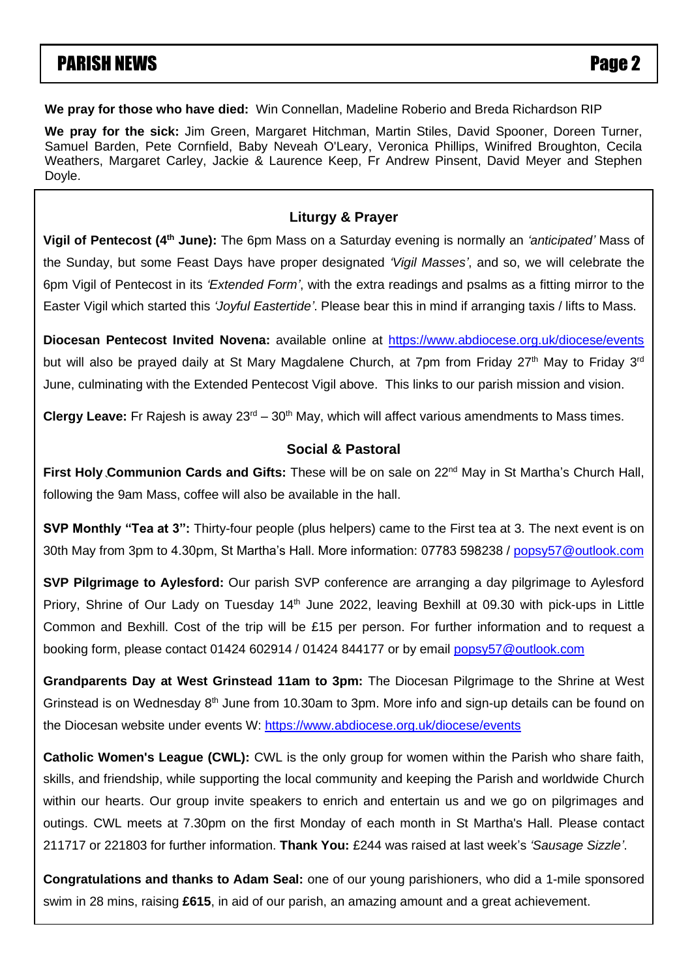# **PARISH NEWS** PARISH NEWS

**We pray for those who have died:** Win Connellan, Madeline Roberio and Breda Richardson RIP

**We pray for the sick:** Jim Green, Margaret Hitchman, Martin Stiles, David Spooner, Doreen Turner, Samuel Barden, Pete Cornfield, Baby Neveah O'Leary, Veronica Phillips, Winifred Broughton, Cecila Weathers, Margaret Carley, Jackie & Laurence Keep, Fr Andrew Pinsent, David Meyer and Stephen Doyle.

#### **Liturgy & Prayer**

**Vigil of Pentecost (4th June):** The 6pm Mass on a Saturday evening is normally an *'anticipated'* Mass of the Sunday, but some Feast Days have proper designated *'Vigil Masses'*, and so, we will celebrate the 6pm Vigil of Pentecost in its *'Extended Form'*, with the extra readings and psalms as a fitting mirror to the Easter Vigil which started this *'Joyful Eastertide'*. Please bear this in mind if arranging taxis / lifts to Mass.

Diocesan Pentecost Invited Novena: available online at <https://www.abdiocese.org.uk/diocese/events> **We pray for the sick especially**: Olga Alexandrou, Diane Batkin, Monica Bond, Roland Borzelleca, Michael but will also be prayed daily at St Mary Magdalene Church, at 7pm from Friday 27<sup>th</sup> May to Friday 3<sup>rd</sup> June, culminating with the Extended Pentecost Vigil above. This links to our parish mission and vision Griffith, Chris Halligan, Gabrielle Harris, Fred Haycroft, Joan Hooker, Theresa Hussain, Sheila Hyde, Abraham Jacob, June, culminating with the Extended Pentecost Vigil above. This links to our parish mission and vision.

Brian Keaven, William Lord, Philosophy, Phyliss McGlade, Phyliss McGlade, Phylissipe, Pauline McClade, Phyliss **Clergy Leave:** Fr Rajesh is away 23<sup>rd</sup> – 30<sup>th</sup> May, which will affect various amendments to Mass times.

#### Rosemary Skyling, Jean Southern, David Spooner, Benita Stevens, Vera Stevens, Brian Sullivan, Margaret Taylor, Nora **Social & Pastoral**

` First Holy Communion Cards and Gifts: These will be on sale on 22<sup>nd</sup> May in St Martha's Church Hall, following the 9am Mass, coffee will also be available in the hall.

**SVP Monthly "Tea at 3":** Thirty-four people (plus helpers) came to the First tea at 3. The next event is on 30th May from 3pm to 4.30pm, St Martha's Hall. More information: 07783 598238 / [popsy57@outlook.com](mailto:popsy57@outlook.com)

**SVP Pilgrimage to Aylesford:** Our parish SVP conference are arranging a day pilgrimage to Aylesford Priory, Shrine of Our Lady on Tuesday 14<sup>th</sup> June 2022, leaving Bexhill at 09.30 with pick-ups in Little Common and Bexhill. Cost of the trip will be £15 per person. For further information and to request a booking form, please contact 01424 602914 / 01424 844177 or by email [popsy57@outlook.com](mailto:popsy57@outlook.com)

**Grandparents Day at West Grinstead 11am to 3pm:** The Diocesan Pilgrimage to the Shrine at West Grinstead is on Wednesday 8<sup>th</sup> June from 10.30am to 3pm. More info and sign-up details can be found on the Diocesan website under events W:<https://www.abdiocese.org.uk/diocese/events>

**Catholic Women's League (CWL):** CWL is the only group for women within the Parish who share faith, skills, and friendship, while supporting the local community and keeping the Parish and worldwide Church within our hearts. Our group invite speakers to enrich and entertain us and we go on pilgrimages and outings. CWL meets at 7.30pm on the first Monday of each month in St Martha's Hall. Please contact 211717 or 221803 for further information. **Thank You:** £244 was raised at last week's *'Sausage Sizzle'*.

**Congratulations and thanks to Adam Seal:** one of our young parishioners, who did a 1-mile sponsored swim in 28 mins, raising **£615**, in aid of our parish, an amazing amount and a great achievement.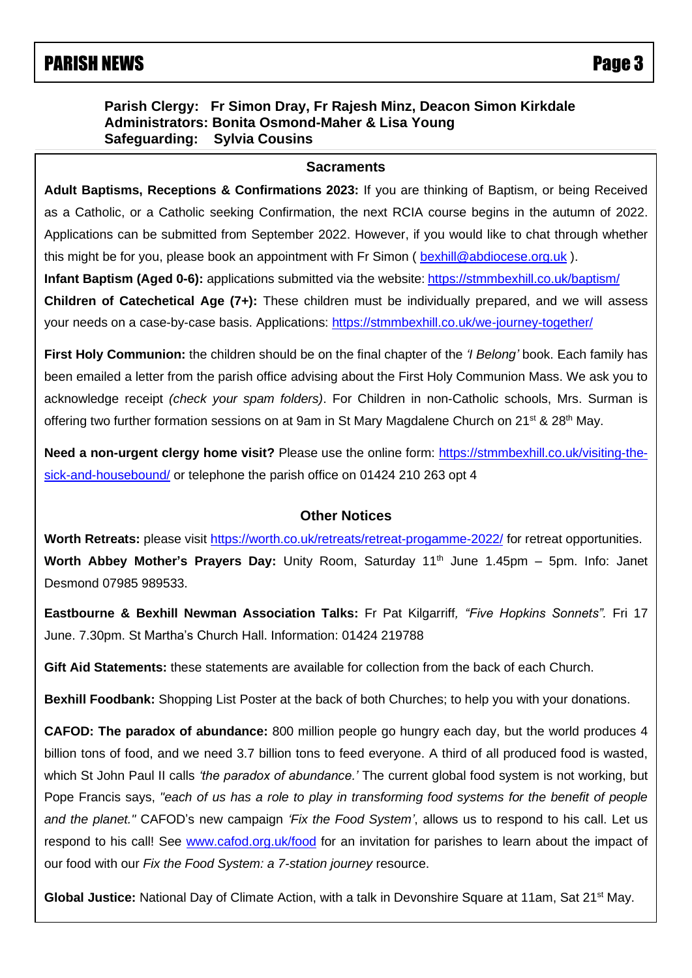# PARISH NEWS Page 3

### **Parish Clergy: Fr Simon Dray, Fr Rajesh Minz, Deacon Simon Kirkdale Administrators: Bonita Osmond-Maher & Lisa Young Safeguarding: Sylvia Cousins**

#### **Sacraments**

 Applications can be submitted from September 2022. However, if you would like to chat through whether **Adult Baptisms, Receptions & Confirmations 2023:** If you are thinking of Baptism, or being Received as a Catholic, or a Catholic seeking Confirmation, the next RCIA course begins in the autumn of 2022. this might be for you, please book an appointment with Fr Simon ( [bexhill@abdiocese.org.uk](mailto:bexhill@abdiocese.org.uk) ). **Infant Baptism (Aged 0-6):** applications submitted via the website: <https://stmmbexhill.co.uk/baptism/>

**Children of Catechetical Age (7+):** These children must be individually prepared, and we will assess your needs on a case-by-case basis. Applications:<https://stmmbexhill.co.uk/we-journey-together/>

**First Holy Communion:** the children should be on the final chapter of the *'I Belong'* book. Each family has been emailed a letter from the parish office advising about the First Holy Communion Mass. We ask you to acknowledge receipt *(check your spam folders)*. For Children in non-Catholic schools, Mrs. Surman is offering two further formation sessions on at 9am in St Mary Magdalene Church on  $21^{st}$  &  $28^{th}$  May.

**Need a non-urgent clergy home visit?** Please use the online form: [https://stmmbexhill.co.uk/visiting-the](https://stmmbexhill.co.uk/visiting-the-sick-and-housebound/)[sick-and-housebound/](https://stmmbexhill.co.uk/visiting-the-sick-and-housebound/) or telephone the parish office on 01424 210 263 opt 4

#### **Other Notices**

Worth Retreats: please visit<https://worth.co.uk/retreats/retreat-progamme-2022/> for retreat opportunities. Worth Abbey Mother's Prayers Day: Unity Room, Saturday 11<sup>th</sup> June 1.45pm - 5pm. Info: Janet Desmond 07985 989533.

**Eastbourne & Bexhill Newman Association Talks:** Fr Pat Kilgarriff*, "Five Hopkins Sonnets".* Fri 17 June. 7.30pm. St Martha's Church Hall. Information: 01424 219788

**Gift Aid Statements:** these statements are available for collection from the back of each Church.

**Bexhill Foodbank:** Shopping List Poster at the back of both Churches; to help you with your donations.

**CAFOD: The paradox of abundance:** 800 million people go hungry each day, but the world produces 4 billion tons of food, and we need 3.7 billion tons to feed everyone. A third of all produced food is wasted, which St John Paul II calls *'the paradox of abundance.'* The current global food system is not working, but Pope Francis says, *"each of us has a role to play in transforming food systems for the benefit of people and the planet."* CAFOD's new campaign *'Fix the Food System'*, allows us to respond to his call. Let us respond to his call! See [www.cafod.org.uk/food](https://eur02.safelinks.protection.outlook.com/?url=http%3A%2F%2Fwww.cafod.org.uk%2Ffood&data=05%7C01%7Cbexhill%40abdiocese.org.uk%7C6be6b5a54e8c4b4bc8b508da327c18f2%7C2bf5dbc217ef4efca1c9ab2dc4edefd0%7C0%7C0%7C637877805824442840%7CUnknown%7CTWFpbGZsb3d8eyJWIjoiMC4wLjAwMDAiLCJQIjoiV2luMzIiLCJBTiI6Ik1haWwiLCJXVCI6Mn0%3D%7C3000%7C%7C%7C&sdata=8Rky4y2lcBaPuozVOd3FDfQLJV0RB7JDYGaB8Vf%2Bs5g%3D&reserved=0) for an invitation for parishes to learn about the impact of our food with our *Fix the Food System: a 7-station journey* resource.

Global Justice: National Day of Climate Action, with a talk in Devonshire Square at 11am, Sat 21<sup>st</sup> May.